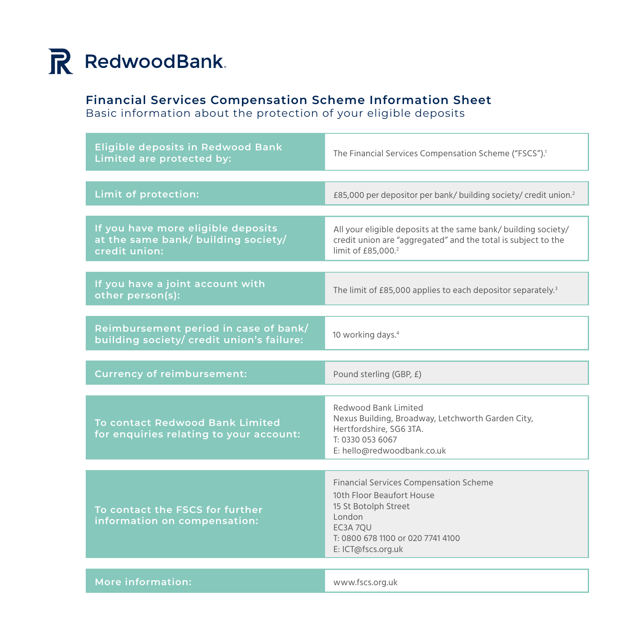

### **Financial Services Compensation Scheme Information Sheet**

Basic information about the protection of your eligible deposits

| <b>Eligible deposits in Redwood Bank</b><br>Limited are protected by:                      | The Financial Services Compensation Scheme ("FSCS"). <sup>1</sup>                                                                                                                   |
|--------------------------------------------------------------------------------------------|-------------------------------------------------------------------------------------------------------------------------------------------------------------------------------------|
| Limit of protection:                                                                       | £85,000 per depositor per bank/ building society/ credit union. <sup>2</sup>                                                                                                        |
| If you have more eligible deposits<br>at the same bank/ building society/<br>credit union: | All your eligible deposits at the same bank/ building society/<br>credit union are "aggregated" and the total is subject to the<br>limit of £85,000. <sup>2</sup>                   |
| If you have a joint account with<br>other person(s):                                       | The limit of £85,000 applies to each depositor separately. <sup>3</sup>                                                                                                             |
| Reimbursement period in case of bank/<br>building society/ credit union's failure:         | 10 working days. <sup>4</sup>                                                                                                                                                       |
| <b>Currency of reimbursement:</b>                                                          | Pound sterling (GBP, £)                                                                                                                                                             |
| <b>To contact Redwood Bank Limited</b><br>for enquiries relating to your account:          | Redwood Bank Limited<br>Nexus Building, Broadway, Letchworth Garden City,<br>Hertfordshire, SG6 3TA.<br>T: 0330 053 6067<br>E: hello@redwoodbank.co.uk                              |
| To contact the FSCS for further<br>information on compensation:                            | <b>Financial Services Compensation Scheme</b><br>10th Floor Beaufort House<br>15 St Botolph Street<br>London<br>EC3A 7OU<br>T: 0800 678 1100 or 020 7741 4100<br>E: ICT@fscs.org.uk |
| More information:                                                                          | www.fscs.org.uk                                                                                                                                                                     |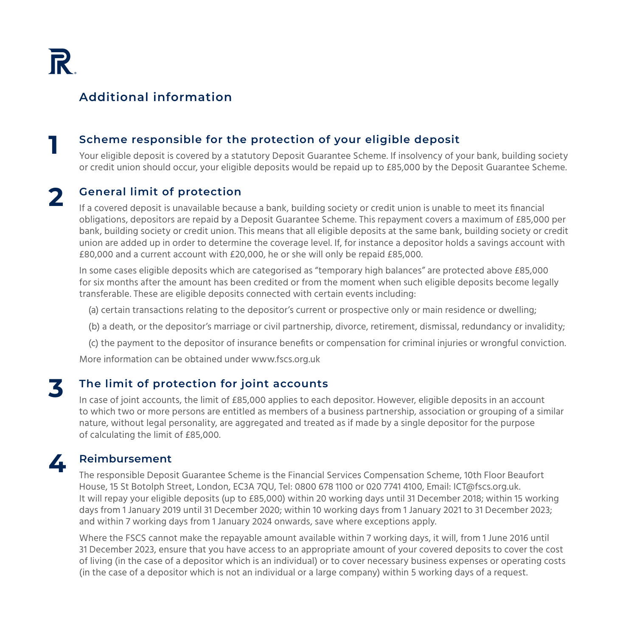### **Additional information**

#### **1 Scheme responsible for the protection of your eligible deposit**

Your eligible deposit is covered by a statutory Deposit Guarantee Scheme. If insolvency of your bank, building society or credit union should occur, your eligible deposits would be repaid up to £85,000 by the Deposit Guarantee Scheme.

# **2 General limit of protection**

If a covered deposit is unavailable because a bank, building society or credit union is unable to meet its financial obligations, depositors are repaid by a Deposit Guarantee Scheme. This repayment covers a maximum of £85,000 per bank, building society or credit union. This means that all eligible deposits at the same bank, building society or credit union are added up in order to determine the coverage level. If, for instance a depositor holds a savings account with £80,000 and a current account with £20,000, he or she will only be repaid £85,000.

In some cases eligible deposits which are categorised as "temporary high balances" are protected above £85,000 for six months after the amount has been credited or from the moment when such eligible deposits become legally transferable. These are eligible deposits connected with certain events including:

- (a) certain transactions relating to the depositor's current or prospective only or main residence or dwelling;
- (b) a death, or the depositor's marriage or civil partnership, divorce, retirement, dismissal, redundancy or invalidity;
- (c) the payment to the depositor of insurance benefits or compensation for criminal injuries or wrongful conviction.

More information can be obtained under www.fscs.org.uk

## **3 The limit of protection for joint accounts**

In case of joint accounts, the limit of £85,000 applies to each depositor. However, eligible deposits in an account to which two or more persons are entitled as members of a business partnership, association or grouping of a similar nature, without legal personality, are aggregated and treated as if made by a single depositor for the purpose of calculating the limit of £85,000.

### **4 Reimbursement**

The responsible Deposit Guarantee Scheme is the Financial Services Compensation Scheme, 10th Floor Beaufort House, 15 St Botolph Street, London, EC3A 7QU, Tel: 0800 678 1100 or 020 7741 4100, Email: ICT@fscs.org.uk. It will repay your eligible deposits (up to £85,000) within 20 working days until 31 December 2018; within 15 working days from 1 January 2019 until 31 December 2020; within 10 working days from 1 January 2021 to 31 December 2023; and within 7 working days from 1 January 2024 onwards, save where exceptions apply.

Where the FSCS cannot make the repayable amount available within 7 working days, it will, from 1 June 2016 until 31 December 2023, ensure that you have access to an appropriate amount of your covered deposits to cover the cost of living (in the case of a depositor which is an individual) or to cover necessary business expenses or operating costs (in the case of a depositor which is not an individual or a large company) within 5 working days of a request.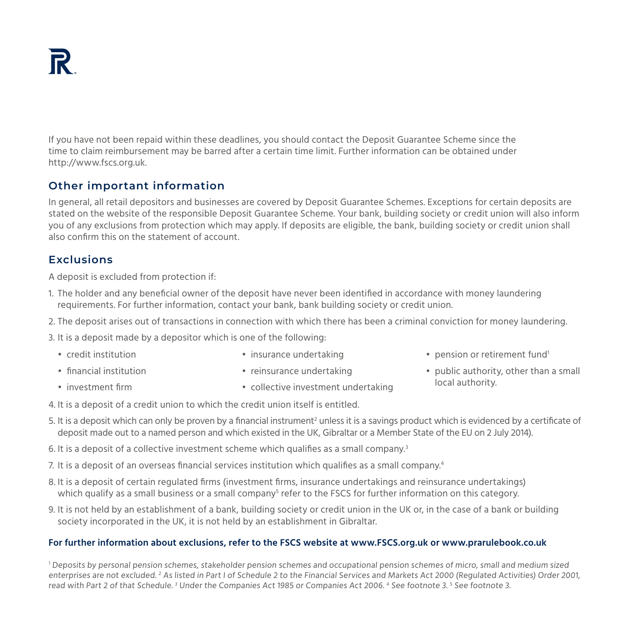If you have not been repaid within these deadlines, you should contact the Deposit Guarantee Scheme since the time to claim reimbursement may be barred after a certain time limit. Further information can be obtained under http://www.fscs.org.uk.

### **Other important information**

In general, all retail depositors and businesses are covered by Deposit Guarantee Schemes. Exceptions for certain deposits are stated on the website of the responsible Deposit Guarantee Scheme. Your bank, building society or credit union will also inform you of any exclusions from protection which may apply. If deposits are eligible, the bank, building society or credit union shall also confirm this on the statement of account.

#### **Exclusions**

A deposit is excluded from protection if:

- 1. The holder and any beneficial owner of the deposit have never been identified in accordance with money laundering requirements. For further information, contact your bank, bank building society or credit union.
- 2. The deposit arises out of transactions in connection with which there has been a criminal conviction for money laundering.
- 3. It is a deposit made by a depositor which is one of the following:

4. It is a deposit of a credit union to which the credit union itself is entitled.

• credit institution

• insurance undertaking

• financial institution

• reinsurance undertaking

- pension or retirement fund<sup>1</sup>
- public authority, other than a small local authority.

• investment firm

- 
- collective investment undertaking
- 5. It is a deposit which can only be proven by a financial instrument<sup>2</sup> unless it is a savings product which is evidenced by a certificate of deposit made out to a named person and which existed in the UK, Gibraltar or a Member State of the EU on 2 July 2014).
- 6. It is a deposit of a collective investment scheme which qualifies as a small company.<sup>3</sup>
- 7. It is a deposit of an overseas financial services institution which qualifies as a small company.<sup>4</sup>
- 8. It is a deposit of certain regulated firms (investment firms, insurance undertakings and reinsurance undertakings) which qualify as a small business or a small company $^{\rm 5}$  refer to the FSCS for further information on this category.
- 9. It is not held by an establishment of a bank, building society or credit union in the UK or, in the case of a bank or building society incorporated in the UK, it is not held by an establishment in Gibraltar.

#### **For further information about exclusions, refer to the FSCS website at www.FSCS.org.uk or www.prarulebook.co.uk**

1 Deposits by personal pension schemes, stakeholder pension schemes and occupational pension schemes of micro, small and medium sized enterprises are not excluded. <sup>2</sup> As listed in Part I of Schedule 2 to the Financial Services and Markets Act 2000 (Regulated Activities) Order 2001, read with Part 2 of that Schedule. <sup>3</sup> Under the Companies Act 1985 or Companies Act 2006. <sup>4</sup> See footnote 3. <sup>5</sup> See footnote 3.